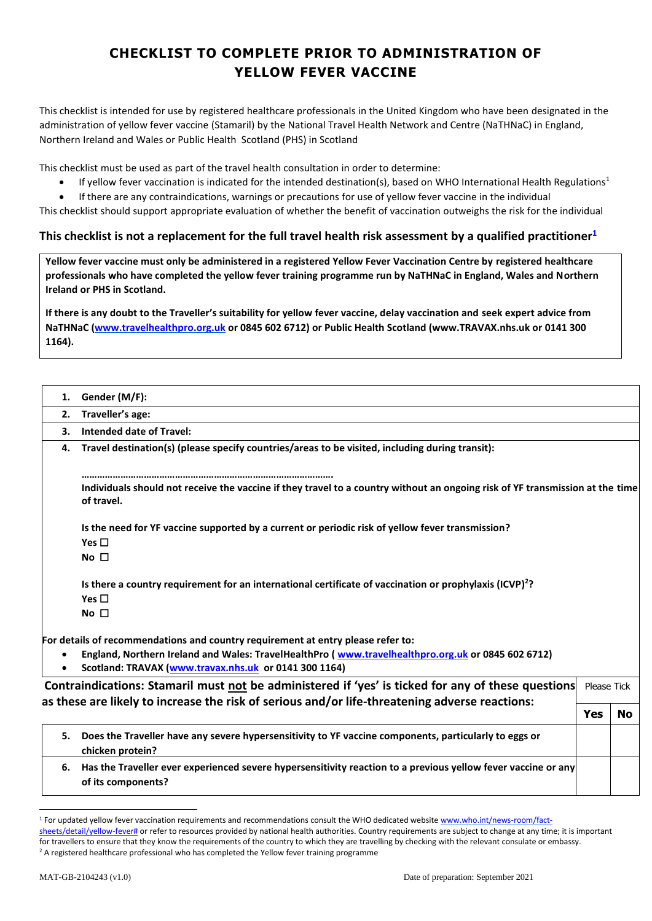## **CHECKLIST TO COMPLETE PRIOR TO ADMINISTRATION OF YELLOW FEVER VACCINE**

This checklist is intended for use by registered healthcare professionals in the United Kingdom who have been designated in the administration of yellow fever vaccine (Stamaril) by the National Travel Health Network and Centre (NaTHNaC) in England, Northern Ireland and Wales or Public Health Scotland (PHS) in Scotland

This checklist must be used as part of the travel health consultation in order to determine:

- If yellow fever vaccination is indicated for the intended destination(s), based on WHO International Health Regulations<sup>1</sup>
- If there are any contraindications, warnings or precautions for use of yellow fever vaccine in the individual

This checklist should support appropriate evaluation of whether the benefit of vaccination outweighs the risk for the individual

## **This checklist is not a replacement for the full travel health risk assessment by a qualified practitioner<sup>1</sup>**

**Yellow fever vaccine must only be administered in a registered Yellow Fever Vaccination Centre by registered healthcare professionals who have completed the yellow fever training programme run by NaTHNaC in England, Wales and Northern Ireland or PHS in Scotland.** 

**If there is any doubt to the Traveller's suitability for yellow fever vaccine, delay vaccination and seek expert advice from NaTHNaC (www.travelhealthpro.org.uk or 0845 602 6712) or Public Health Scotland (www.TRAVAX.nhs.uk or 0141 300 1164).** 

| 1. | Gender (M/F):                                                                                                                               |             |  |
|----|---------------------------------------------------------------------------------------------------------------------------------------------|-------------|--|
| 2. | Traveller's age:                                                                                                                            |             |  |
| 3. | <b>Intended date of Travel:</b>                                                                                                             |             |  |
| 4. | Travel destination(s) (please specify countries/areas to be visited, including during transit):                                             |             |  |
|    |                                                                                                                                             |             |  |
|    | Individuals should not receive the vaccine if they travel to a country without an ongoing risk of YF transmission at the time<br>of travel. |             |  |
|    | Is the need for YF vaccine supported by a current or periodic risk of yellow fever transmission?                                            |             |  |
|    | Yes $\Box$                                                                                                                                  |             |  |
|    | No $\square$                                                                                                                                |             |  |
|    | Is there a country requirement for an international certificate of vaccination or prophylaxis (ICVP) <sup>2</sup> ?                         |             |  |
|    | Yes $\square$                                                                                                                               |             |  |
|    | No $\square$                                                                                                                                |             |  |
|    | For details of recommendations and country requirement at entry please refer to:                                                            |             |  |
|    | England, Northern Ireland and Wales: TravelHealthPro (www.travelhealthpro.org.uk or 0845 602 6712)                                          |             |  |
|    | Scotland: TRAVAX (www.travax.nhs.uk or 0141 300 1164)                                                                                       |             |  |
|    | Contraindications: Stamaril must not be administered if 'yes' is ticked for any of these questions                                          | Please Tick |  |
|    | as these are likely to increase the risk of serious and/or life-threatening adverse reactions:                                              |             |  |
|    |                                                                                                                                             |             |  |

|    |                                                                                                                                     | Yes |  |
|----|-------------------------------------------------------------------------------------------------------------------------------------|-----|--|
|    | Does the Traveller have any severe hypersensitivity to YF vaccine components, particularly to eggs or<br>chicken protein?           |     |  |
| 6. | Has the Traveller ever experienced severe hypersensitivity reaction to a previous yellow fever vaccine or any<br>of its components? |     |  |

1

<sup>&</sup>lt;sup>1</sup> For updated yellow fever vaccination requirements and recommendations consult the WHO dedicated website www.who.int/news-room/fact-

sheets/detail/yellow-fever# or refer to resources provided by national health authorities. Country requirements are subject to change at any time; it is important for travellers to ensure that they know the requirements of the country to which they are travelling by checking with the relevant consulate or embassy.

<sup>&</sup>lt;sup>2</sup> A registered healthcare professional who has completed the Yellow fever training programme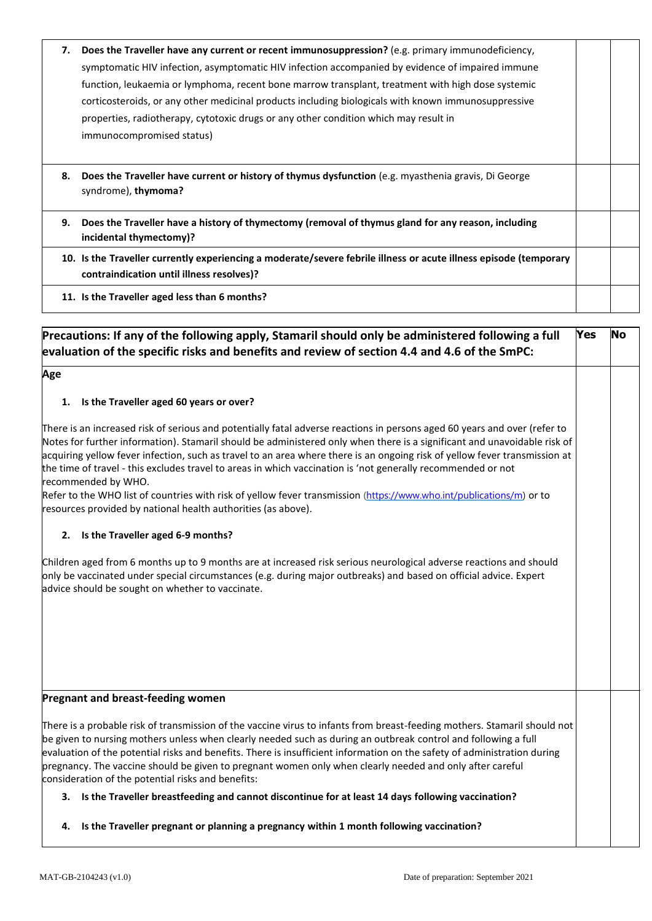| 7. | Does the Traveller have any current or recent immunosuppression? (e.g. primary immunodeficiency,<br>symptomatic HIV infection, asymptomatic HIV infection accompanied by evidence of impaired immune<br>function, leukaemia or lymphoma, recent bone marrow transplant, treatment with high dose systemic<br>corticosteroids, or any other medicinal products including biologicals with known immunosuppressive<br>properties, radiotherapy, cytotoxic drugs or any other condition which may result in<br>immunocompromised status) |  |
|----|---------------------------------------------------------------------------------------------------------------------------------------------------------------------------------------------------------------------------------------------------------------------------------------------------------------------------------------------------------------------------------------------------------------------------------------------------------------------------------------------------------------------------------------|--|
| 8. | Does the Traveller have current or history of thymus dysfunction (e.g. myasthenia gravis, Di George<br>syndrome), thymoma?                                                                                                                                                                                                                                                                                                                                                                                                            |  |
| 9. | Does the Traveller have a history of thymectomy (removal of thymus gland for any reason, including<br>incidental thymectomy)?                                                                                                                                                                                                                                                                                                                                                                                                         |  |
|    | 10. Is the Traveller currently experiencing a moderate/severe febrile illness or acute illness episode (temporary<br>contraindication until illness resolves)?                                                                                                                                                                                                                                                                                                                                                                        |  |
|    | 11. Is the Traveller aged less than 6 months?                                                                                                                                                                                                                                                                                                                                                                                                                                                                                         |  |

| Precautions: If any of the following apply, Stamaril should only be administered following a full<br>evaluation of the specific risks and benefits and review of section 4.4 and 4.6 of the SmPC:                                                                                                                                                                                                                                                                                                                                                                                                                                                                                                                   | Yes | <b>No</b> |
|---------------------------------------------------------------------------------------------------------------------------------------------------------------------------------------------------------------------------------------------------------------------------------------------------------------------------------------------------------------------------------------------------------------------------------------------------------------------------------------------------------------------------------------------------------------------------------------------------------------------------------------------------------------------------------------------------------------------|-----|-----------|
| Age                                                                                                                                                                                                                                                                                                                                                                                                                                                                                                                                                                                                                                                                                                                 |     |           |
| 1. Is the Traveller aged 60 years or over?                                                                                                                                                                                                                                                                                                                                                                                                                                                                                                                                                                                                                                                                          |     |           |
| There is an increased risk of serious and potentially fatal adverse reactions in persons aged 60 years and over (refer to<br>Notes for further information). Stamaril should be administered only when there is a significant and unavoidable risk of<br>acquiring yellow fever infection, such as travel to an area where there is an ongoing risk of yellow fever transmission at<br>the time of travel - this excludes travel to areas in which vaccination is 'not generally recommended or not<br>recommended by WHO.<br>Refer to the WHO list of countries with risk of yellow fever transmission (https://www.who.int/publications/m) or to<br>resources provided by national health authorities (as above). |     |           |
| 2. Is the Traveller aged 6-9 months?                                                                                                                                                                                                                                                                                                                                                                                                                                                                                                                                                                                                                                                                                |     |           |
| Children aged from 6 months up to 9 months are at increased risk serious neurological adverse reactions and should<br>only be vaccinated under special circumstances (e.g. during major outbreaks) and based on official advice. Expert<br>advice should be sought on whether to vaccinate.                                                                                                                                                                                                                                                                                                                                                                                                                         |     |           |
| Pregnant and breast-feeding women                                                                                                                                                                                                                                                                                                                                                                                                                                                                                                                                                                                                                                                                                   |     |           |
| There is a probable risk of transmission of the vaccine virus to infants from breast-feeding mothers. Stamaril should not<br>be given to nursing mothers unless when clearly needed such as during an outbreak control and following a full<br>evaluation of the potential risks and benefits. There is insufficient information on the safety of administration during<br>pregnancy. The vaccine should be given to pregnant women only when clearly needed and only after careful<br>consideration of the potential risks and benefits:                                                                                                                                                                           |     |           |
| 3. Is the Traveller breastfeeding and cannot discontinue for at least 14 days following vaccination?                                                                                                                                                                                                                                                                                                                                                                                                                                                                                                                                                                                                                |     |           |
| 4. Is the Traveller pregnant or planning a pregnancy within 1 month following vaccination?                                                                                                                                                                                                                                                                                                                                                                                                                                                                                                                                                                                                                          |     |           |